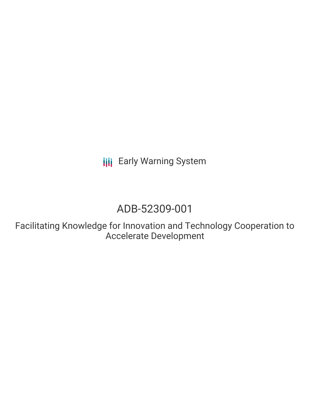**III** Early Warning System

# ADB-52309-001

Facilitating Knowledge for Innovation and Technology Cooperation to Accelerate Development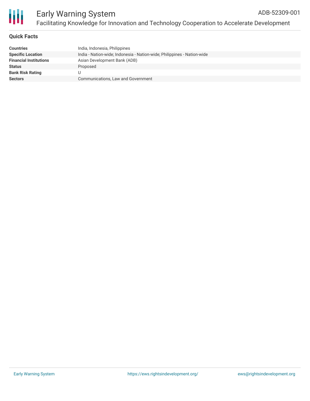

#### **Quick Facts**

| <b>Countries</b>              | India, Indonesia, Philippines                                           |
|-------------------------------|-------------------------------------------------------------------------|
| <b>Specific Location</b>      | India - Nation-wide; Indonesia - Nation-wide; Philippines - Nation-wide |
| <b>Financial Institutions</b> | Asian Development Bank (ADB)                                            |
| Status                        | Proposed                                                                |
| <b>Bank Risk Rating</b>       |                                                                         |
| <b>Sectors</b>                | Communications, Law and Government                                      |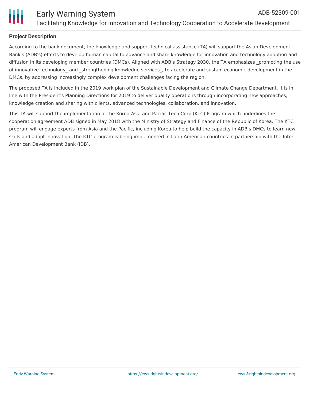

### **Project Description**

According to the bank document, the knowledge and support technical assistance (TA) will support the Asian Development Bank's (ADB's) efforts to develop human capital to advance and share knowledge for innovation and technology adoption and diffusion in its developing member countries (DMCs). Aligned with ADB's Strategy 2030, the TA emphasizes promoting the use of innovative technology and strengthening knowledge services, to accelerate and sustain economic development in the DMCs, by addressing increasingly complex development challenges facing the region.

The proposed TA is included in the 2019 work plan of the Sustainable Development and Climate Change Department. It is in line with the President's Planning Directions for 2019 to deliver quality operations through incorporating new approaches, knowledge creation and sharing with clients, advanced technologies, collaboration, and innovation.

This TA will support the implementation of the Korea-Asia and Pacific Tech Corp (KTC) Program which underlines the cooperation agreement ADB signed in May 2018 with the Ministry of Strategy and Finance of the Republic of Korea. The KTC program will engage experts from Asia and the Pacific, including Korea to help build the capacity in ADB's DMCs to learn new skills and adopt innovation. The KTC program is being implemented in Latin American countries in partnership with the Inter-American Development Bank (IDB).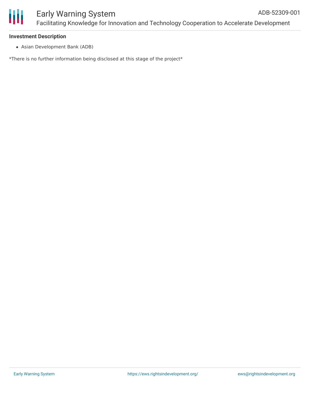#### **Investment Description**

Asian Development Bank (ADB)

\*There is no further information being disclosed at this stage of the project\*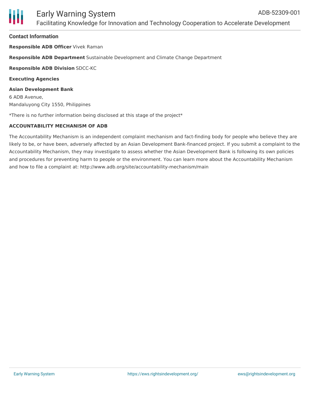#### **Contact Information**

**Responsible ADB Officer** Vivek Raman

**Responsible ADB Department** Sustainable Development and Climate Change Department

**Responsible ADB Division** SDCC-KC

**Executing Agencies**

**Asian Development Bank** 6 ADB Avenue, Mandaluyong City 1550, Philippines

\*There is no further information being disclosed at this stage of the project\*

#### **ACCOUNTABILITY MECHANISM OF ADB**

The Accountability Mechanism is an independent complaint mechanism and fact-finding body for people who believe they are likely to be, or have been, adversely affected by an Asian Development Bank-financed project. If you submit a complaint to the Accountability Mechanism, they may investigate to assess whether the Asian Development Bank is following its own policies and procedures for preventing harm to people or the environment. You can learn more about the Accountability Mechanism and how to file a complaint at: http://www.adb.org/site/accountability-mechanism/main